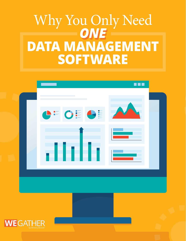# Why You Only Need<br>
ONE **DATA MANAGEMENT SOFTWARE**



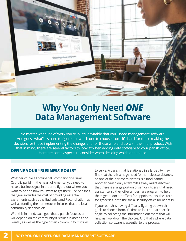

## **Why You Only Need** *ONE*  **Data Management Software**

No matter what line of work you're in, it's inevitable that you'll need management software. And guess what? It's hard to figure out which one to choose from. It's hard for those making the decision, for those implementing the change, and for those who end up with the final product. With that in mind, there are several factors to look at when adding data software to your parish office. Here are some aspects to consider when deciding which one to use.

#### **DEFINE YOUR "BUSINESS GOALS"**

Whether you're a Fortune 500 company or a rural Catholic parish in the heart of America, you need to have a business goal in order to figure out where you want to be and how you want to get there. For parishes, that goal includes the cost of providing essential sacraments such as the Eucharist and Reconciliation, as well as funding the numerous ministries that the local community depends on.

With this in mind, each goal that a parish focuses on will depend on the community it resides in (needs and wants), as well as the type of faith community it strives to serve. A parish that is stationed in a large city may find that there is a huge need for homeless assistance, so one of their prime ministries is a food pantry. Another parish only a few miles away might discover that there is a large portion of senior citizens that need assistance, so they offer a rideshare program to help them get to doctor offices for appointments, the store for groceries, or to the social security office for benefits.

If your parish is having difficulty figuring out which goals to choose from, it's time to look at that specific angle by collecting the information out there that will help narrow down the choices. And that's where data collection software is essential to the process.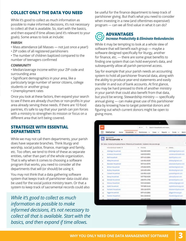#### **COLLECT ONLY THE DATA YOU NEED**

While it's good to collect as much information as possible to make informed decisions, it's not necessary to collect all that is available. So, start with the basics, and then expand if time allows (and it's relevant to your goals). Some areas to look at include:

#### **PARISH**

- Mass attendance (all Masses not just once a year!)
- ZIP codes of all registered parishioners
- The number of children baptized compared to the number of teenagers confirmed

#### **COMMUNITY**

- Median/average income within your ZIP code and surrounding area
- Significant demographics in your area, like a particularly large number of senior citizens, college students or another group
- Unemployment rates

Once you look at these factors, then expand your search to see if there are already churches or non-profits in your area already serving these needs. If there are 10 food pantries, it's safe to say that your parish can join forces with a ministry to strengthen its mission or focus on a different area that isn't being covered.

#### **STRATEGIZE WITH ESSENTIAL DEPARTMENTS**

While we may not call them departments, your parish does have separate branches. Think liturgy and worship, social justice, finance, marriage and family, etc. Too often, we tend to think of these as separate entities, rather than part of the whole organization. That is why when it comes to choosing a software program that works, you need to consider all the departments that will (or should) be using it.

You may not think that a data gathering software system that keeps track of parishioner data could also be used for the social justice ministry team. Or that a system to keep track of sacramental records could also

*While it's good to collect as much information as possible to make informed decisions, it's not necessary to collect all that is available. Start with the basics, and then expand if time allows.* 

be useful for the finance department to keep track of parishioner giving. But that's what you need to consider when investing in a new (and oftentimes expensive!) program — can we all find value in what it can do?

#### C **ADVANTAGES** *Increase Productivity & Eliminate Redundancies*

While it may be tempting to look at a whole slew of software that will benefit each group — maybe a software designed specifically for liturgy, another for finance, etc. — there are some great benefits to finding one system that can hold everyone's data, and subsequently allow all parish personnel access.

Say for example that your parish needs an accounting system to hold all parishioner financial data, along with the ability to produce year-end statements and easily transfer in and out of bank accounts. At first glance, you may be hard pressed to think of another ministry in your parish that could also benefit from that data, but you'd be wrong. Stewardship ministry — specifically annual giving — can make great use of this parishioner data by knowing how to target potential donors and figuring out which current donors might be open to giving more.

|           |                                                                                                  |                   | ÷.<br>$\alpha$<br>All will<br>Seenth Households and more                                    |  |  |               |
|-----------|--------------------------------------------------------------------------------------------------|-------------------|---------------------------------------------------------------------------------------------|--|--|---------------|
| nt        |                                                                                                  |                   |                                                                                             |  |  |               |
| 詽         | WeGather                                                                                         | Home Households v | Reishisters v Cases v Reports v Runds v                                                     |  |  | Batch         |
|           | Households<br>All Households =                                                                   |                   |                                                                                             |  |  |               |
|           | 50+ haves + Sorhad by Household Name + Ethenol by all futurations + Globated a faw security ago. |                   |                                                                                             |  |  |               |
|           | HOUSEHOLD NAME T                                                                                 |                   | v PHOME                                                                                     |  |  | $w$ . EMAIL . |
| $\pm$ .   | Allahige Hausehold                                                                               |                   | Souls Attrib Journey                                                                        |  |  |               |
| 3         | Anderson Hisusehold                                                                              |                   | <b>MARKETS ARREST</b>                                                                       |  |  |               |
| ×         | <b>Balt Howelroad</b>                                                                            |                   | <b>CONTRACTOR</b><br><b>ANTI-ALEA DANA</b>                                                  |  |  |               |
| $\lambda$ | Sibey Hiruseficild                                                                               |                   | <b><i>ASIA (MILL-MILL)</i></b>                                                              |  |  |               |
| s         | Stackater Hawarhold                                                                              |                   | Concert of the Concert of the<br><b>Bill Avenue Richille</b><br><b><i>Contract Form</i></b> |  |  |               |
| ×.        | Brittsin Household                                                                               |                   | ATO AND ROTA                                                                                |  |  |               |
| ÷         | <b>Bulliery Househord</b>                                                                        |                   | Juck and a soldier                                                                          |  |  |               |
| s.        | Catixal Household                                                                                |                   | KIN INS AZE                                                                                 |  |  |               |
| ٠         | Devey Household                                                                                  |                   | <b>BUT THIS ASTA</b>                                                                        |  |  |               |
| 10        | Drinkell Household                                                                               |                   | USA 674-C786                                                                                |  |  |               |
| 11        | Elsbury Household                                                                                |                   | OR DAILY ROOM                                                                               |  |  |               |
| $^{12}$   | Epilet Household                                                                                 |                   | <b>FOT GIRS SKOR</b>                                                                        |  |  |               |
| $\pm 1$   | Fairbarch Housefrott                                                                             |                   | <b><i>USA LAW DOWN</i></b>                                                                  |  |  |               |
| 34        | <b>Regardmovehold</b>                                                                            |                   | <b>MFT 4-25 JANA</b>                                                                        |  |  |               |
| 25        | Promotion Managemental                                                                           |                   | <b>ED-USEAU</b>                                                                             |  |  |               |
| to at     | Garcia Household                                                                                 |                   | Jack sciely diving                                                                          |  |  |               |